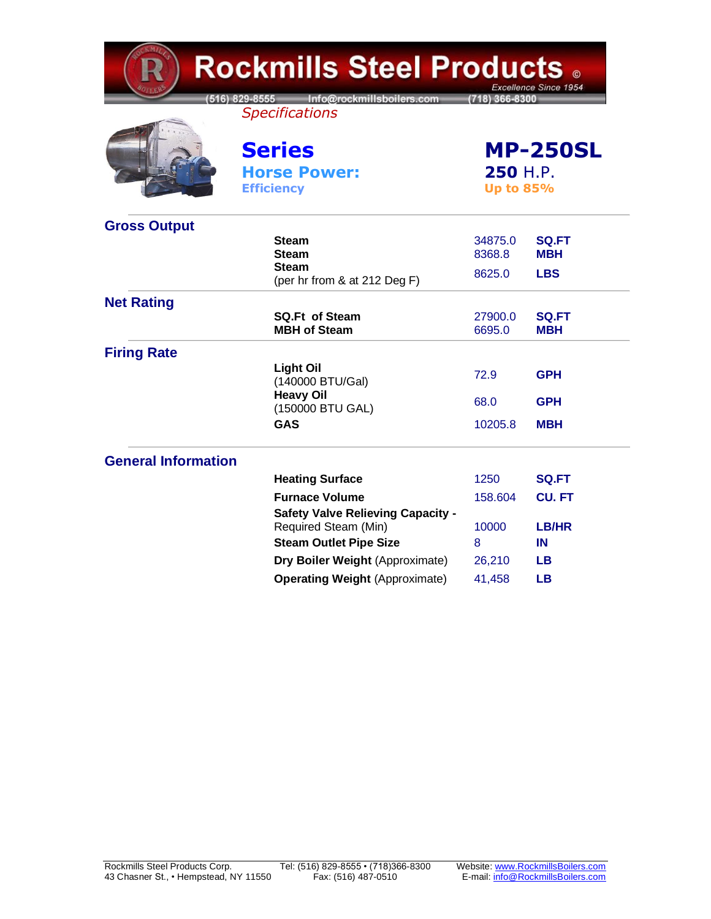| <b>Rockmills Steel Products .</b><br>Excellence Since 1954 |                                                                  |                             |                            |  |
|------------------------------------------------------------|------------------------------------------------------------------|-----------------------------|----------------------------|--|
|                                                            | 516) 829-8555 Info@rockmillsboilers.com<br><b>Specifications</b> | (718) 366-8300              |                            |  |
|                                                            | <b>Series</b>                                                    | <b>MP-250SL</b><br>250 H.P. |                            |  |
|                                                            | <b>Horse Power:</b>                                              |                             |                            |  |
|                                                            | <b>Efficiency</b>                                                | <b>Up to 85%</b>            |                            |  |
| <b>Gross Output</b>                                        |                                                                  |                             |                            |  |
|                                                            | <b>Steam</b><br><b>Steam</b>                                     | 34875.0<br>8368.8           | <b>SQ.FT</b><br><b>MBH</b> |  |
|                                                            | <b>Steam</b>                                                     |                             |                            |  |
|                                                            | (per hr from & at 212 Deg F)                                     | 8625.0                      | <b>LBS</b>                 |  |
| <b>Net Rating</b>                                          |                                                                  |                             |                            |  |
|                                                            | <b>SQ.Ft of Steam</b><br><b>MBH of Steam</b>                     | 27900.0<br>6695.0           | <b>SQ.FT</b><br><b>MBH</b> |  |
| <b>Firing Rate</b>                                         |                                                                  |                             |                            |  |
|                                                            | <b>Light Oil</b><br>(140000 BTU/Gal)                             | 72.9                        | <b>GPH</b>                 |  |
|                                                            | <b>Heavy Oil</b><br>(150000 BTU GAL)                             | 68.0                        | <b>GPH</b>                 |  |
|                                                            | <b>GAS</b>                                                       | 10205.8                     | <b>MBH</b>                 |  |
| <b>General Information</b>                                 |                                                                  |                             |                            |  |
|                                                            | <b>Heating Surface</b>                                           | 1250                        | <b>SQ.FT</b>               |  |
|                                                            | <b>Furnace Volume</b>                                            | 158.604                     | <b>CU.FT</b>               |  |
|                                                            | <b>Safety Valve Relieving Capacity -</b>                         |                             |                            |  |
|                                                            | Required Steam (Min)                                             | 10000                       | LB/HR                      |  |
|                                                            | <b>Steam Outlet Pipe Size</b>                                    | 8                           | IN                         |  |
|                                                            | Dry Boiler Weight (Approximate)                                  | 26,210                      | LВ                         |  |
|                                                            | <b>Operating Weight (Approximate)</b>                            | 41,458                      | <b>LB</b>                  |  |